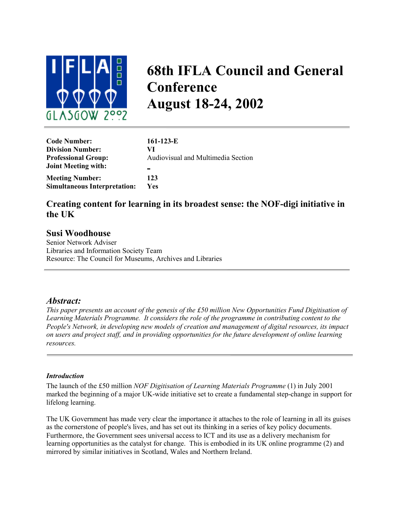

# **68th IFLA Council and General Conference August 18-24, 2002**

| <b>Code Number:</b>                 | $161-123-E$                        |
|-------------------------------------|------------------------------------|
| <b>Division Number:</b>             | VI                                 |
| <b>Professional Group:</b>          | Audiovisual and Multimedia Section |
| <b>Joint Meeting with:</b>          |                                    |
| <b>Meeting Number:</b>              | 123                                |
| <b>Simultaneous Interpretation:</b> | <b>Yes</b>                         |

# **Creating content for learning in its broadest sense: the NOF-digi initiative in the UK**

## **Susi Woodhouse**

Senior Network Adviser Libraries and Information Society Team Resource: The Council for Museums, Archives and Libraries

## *Abstract:*

*This paper presents an account of the genesis of the £50 million New Opportunities Fund Digitisation of Learning Materials Programme. It considers the role of the programme in contributing content to the People's Network, in developing new models of creation and management of digital resources, its impact on users and project staff, and in providing opportunities for the future development of online learning resources.*

#### *Introduction*

The launch of the £50 million *NOF Digitisation of Learning Materials Programme* (1) in July 2001 marked the beginning of a major UK-wide initiative set to create a fundamental step-change in support for lifelong learning.

The UK Government has made very clear the importance it attaches to the role of learning in all its guises as the cornerstone of people's lives, and has set out its thinking in a series of key policy documents. Furthermore, the Government sees universal access to ICT and its use as a delivery mechanism for learning opportunities as the catalyst for change. This is embodied in its UK online programme (2) and mirrored by similar initiatives in Scotland, Wales and Northern Ireland.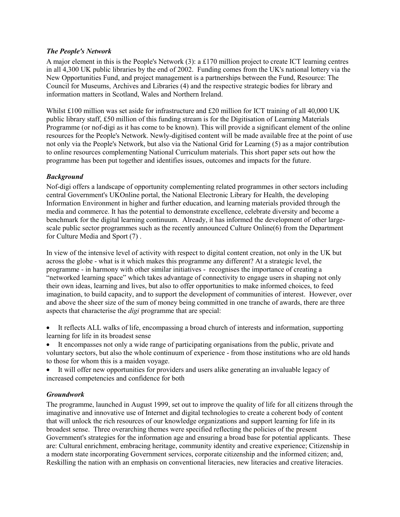#### *The People's Network*

A major element in this is the People's Network (3): a £170 million project to create ICT learning centres in all 4,300 UK public libraries by the end of 2002. Funding comes from the UK's national lottery via the New Opportunities Fund, and project management is a partnerships between the Fund, Resource: The Council for Museums, Archives and Libraries (4) and the respective strategic bodies for library and information matters in Scotland, Wales and Northern Ireland.

Whilst £100 million was set aside for infrastructure and £20 million for ICT training of all 40,000 UK public library staff, £50 million of this funding stream is for the Digitisation of Learning Materials Programme (or nof-digi as it has come to be known). This will provide a significant element of the online resources for the People's Network. Newly-digitised content will be made available free at the point of use not only via the People's Network, but also via the National Grid for Learning (5) as a major contribution to online resources complementing National Curriculum materials. This short paper sets out how the programme has been put together and identifies issues, outcomes and impacts for the future.

### *Background*

Nof-digi offers a landscape of opportunity complementing related programmes in other sectors including central Government's UKOnline portal, the National Electronic Library for Health, the developing Information Environment in higher and further education, and learning materials provided through the media and commerce. It has the potential to demonstrate excellence, celebrate diversity and become a benchmark for the digital learning continuum. Already, it has informed the development of other largescale public sector programmes such as the recently announced Culture Online(6) from the Department for Culture Media and Sport (7) .

In view of the intensive level of activity with respect to digital content creation, not only in the UK but across the globe - what is it which makes this programme any different? At a strategic level, the programme - in harmony with other similar initiatives - recognises the importance of creating a "networked learning space" which takes advantage of connectivity to engage users in shaping not only their own ideas, learning and lives, but also to offer opportunities to make informed choices, to feed imagination, to build capacity, and to support the development of communities of interest. However, over and above the sheer size of the sum of money being committed in one tranche of awards, there are three aspects that characterise the *digi* programme that are special:

- It reflects ALL walks of life, encompassing a broad church of interests and information, supporting learning for life in its broadest sense
- It encompasses not only a wide range of participating organisations from the public, private and voluntary sectors, but also the whole continuum of experience - from those institutions who are old hands to those for whom this is a maiden voyage.
- It will offer new opportunities for providers and users alike generating an invaluable legacy of increased competencies and confidence for both

#### *Groundwork*

The programme, launched in August 1999, set out to improve the quality of life for all citizens through the imaginative and innovative use of Internet and digital technologies to create a coherent body of content that will unlock the rich resources of our knowledge organizations and support learning for life in its broadest sense. Three overarching themes were specified reflecting the policies of the present Government's strategies for the information age and ensuring a broad base for potential applicants. These are: Cultural enrichment, embracing heritage, community identity and creative experience; Citizenship in a modern state incorporating Government services, corporate citizenship and the informed citizen; and, Reskilling the nation with an emphasis on conventional literacies, new literacies and creative literacies.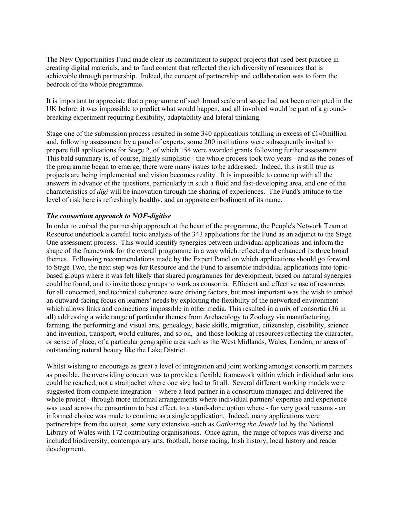The New Opportunities Fund made clear its commitment to support projects that used best practice in creating digital materials, and to fund content that reflected the rich diversity of resources that is achievable through partnership. Indeed, the concept of partnership and collaboration was to form the bedrock of the whole programme.

It is important to appreciate that a programme of such broad scale and scope had not been attempted in the UK before: it was impossible to predict what would happen, and all involved would be part of a groundbreaking experiment requiring flexibility, adaptability and lateral thinking.

Stage one of the submission process resulted in some 340 applications totalling in excess of £140million and, following assessment by a panel of experts, some 200 institutions were subsequently invited to prepare full applications for Stage 2, of which 154 were awarded grants following further assessment. This bald summary is, of course, highly simplistic - the whole process took two years - and as the bones of the programme began to emerge, there were many issues to be addressed. Indeed, this is still true as projects are being implemented and vision becomes reality. It is impossible to come up with all the answers in advance of the questions, particularly in such a fluid and fast-developing area, and one of the characteristics of *digi* will be innovation through the sharing of experiences. The Fund's attitude to the level of risk here is refreshingly healthy, and an apposite embodiment of its name.

#### *The consortium approach to NOF-digitise*

In order to embed the partnership approach at the heart of the programme, the People's Network Team at Resource undertook a careful topic analysis of the 343 applications for the Fund as an adjunct to the Stage One assessment process. This would identify synergies between individual applications and inform the shape of the framework for the overall programme in a way which reflected and enhanced its three broad themes. Following recommendations made by the Expert Panel on which applications should go forward to Stage Two, the next step was for Resource and the Fund to assemble individual applications into topicbased groups where it was felt likely that shared programmes for development, based on natural synergies could be found, and to invite those groups to work as consortia. Efficient and effective use of resources for all concerned, and technical coherence were driving factors, but most important was the wish to embed an outward-facing focus on learners' needs by exploiting the flexibility of the networked environment which allows links and connections impossible in other media. This resulted in a mix of consortia (36 in all) addressing a wide range of particular themes from Archaeology to Zoology via manufacturing, farming, the performing and visual arts, genealogy, basic skills, migration, citizenship, disability, science and invention, transport, world cultures, and so on, and those looking at resources reflecting the character, or sense of place, of a particular geographic area such as the West Midlands, Wales, London, or areas of outstanding natural beauty like the Lake District.

Whilst wishing to encourage as great a level of integration and joint working amongst consortium partners as possible, the over-riding concern was to provide a flexible framework within which individual solutions could be reached, not a straitjacket where one size had to fit all. Several different working models were suggested from complete integration - where a lead partner in a consortium managed and delivered the whole project - through more informal arrangements where individual partners' expertise and experience was used across the consortium to best effect, to a stand-alone option where - for very good reasons - an informed choice was made to continue as a single application. Indeed, many applications were partnerships from the outset, some very extensive -such as *Gathering the Jewels* led by the National Library of Wales with 172 contributing organisations. Once again, the range of topics was diverse and included biodiversity, contemporary arts, football, horse racing, Irish history, local history and reader development.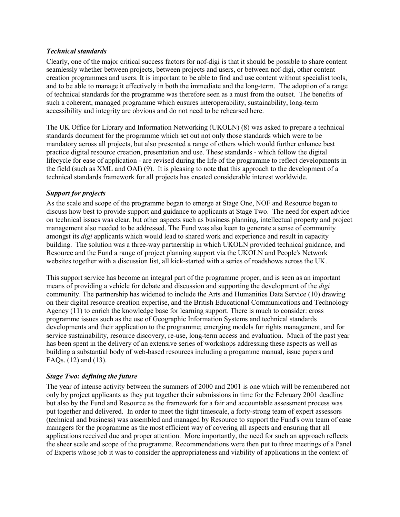#### *Technical standards*

Clearly, one of the major critical success factors for nof-digi is that it should be possible to share content seamlessly whether between projects, between projects and users, or between nof-digi, other content creation programmes and users. It is important to be able to find and use content without specialist tools, and to be able to manage it effectively in both the immediate and the long-term. The adoption of a range of technical standards for the programme was therefore seen as a must from the outset. The benefits of such a coherent, managed programme which ensures interoperability, sustainability, long-term accessibility and integrity are obvious and do not need to be rehearsed here.

The UK Office for Library and Information Networking (UKOLN) (8) was asked to prepare a technical standards document for the programme which set out not only those standards which were to be mandatory across all projects, but also presented a range of others which would further enhance best practice digital resource creation, presentation and use. These standards - which follow the digital lifecycle for ease of application - are revised during the life of the programme to reflect developments in the field (such as XML and OAI) (9). It is pleasing to note that this approach to the development of a technical standards framework for all projects has created considerable interest worldwide.

#### *Support for projects*

As the scale and scope of the programme began to emerge at Stage One, NOF and Resource began to discuss how best to provide support and guidance to applicants at Stage Two. The need for expert advice on technical issues was clear, but other aspects such as business planning, intellectual property and project management also needed to be addressed. The Fund was also keen to generate a sense of community amongst its *digi* applicants which would lead to shared work and experience and result in capacity building. The solution was a three-way partnership in which UKOLN provided technical guidance, and Resource and the Fund a range of project planning support via the UKOLN and People's Network websites together with a discussion list, all kick-started with a series of roadshows across the UK.

This support service has become an integral part of the programme proper, and is seen as an important means of providing a vehicle for debate and discussion and supporting the development of the *digi* community. The partnership has widened to include the Arts and Humanities Data Service (10) drawing on their digital resource creation expertise, and the British Educational Communications and Technology Agency (11) to enrich the knowledge base for learning support. There is much to consider: cross programme issues such as the use of Geographic Information Systems and technical standards developments and their application to the programme; emerging models for rights management, and for service sustainability, resource discovery, re-use, long-term access and evaluation. Much of the past year has been spent in the delivery of an extensive series of workshops addressing these aspects as well as building a substantial body of web-based resources including a progamme manual, issue papers and FAQs. (12) and (13).

#### *Stage Two: defining the future*

The year of intense activity between the summers of 2000 and 2001 is one which will be remembered not only by project applicants as they put together their submissions in time for the February 2001 deadline but also by the Fund and Resource as the framework for a fair and accountable assessment process was put together and delivered. In order to meet the tight timescale, a forty-strong team of expert assessors (technical and business) was assembled and managed by Resource to support the Fund's own team of case managers for the programme as the most efficient way of covering all aspects and ensuring that all applications received due and proper attention. More importantly, the need for such an approach reflects the sheer scale and scope of the programme. Recommendations were then put to three meetings of a Panel of Experts whose job it was to consider the appropriateness and viability of applications in the context of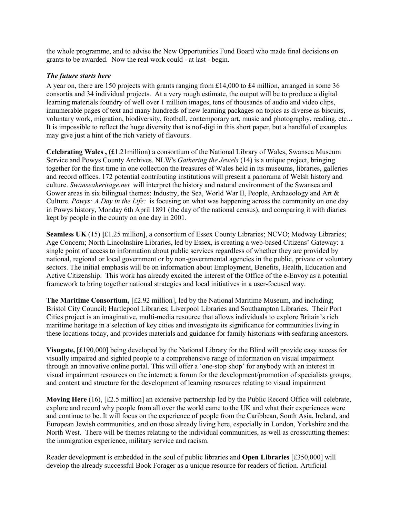the whole programme, and to advise the New Opportunities Fund Board who made final decisions on grants to be awarded. Now the real work could - at last - begin.

#### *The future starts here*

A year on, there are 150 projects with grants ranging from £14,000 to £4 million, arranged in some 36 consortia and 34 individual projects. At a very rough estimate, the output will be to produce a digital learning materials foundry of well over 1 million images, tens of thousands of audio and video clips, innumerable pages of text and many hundreds of new learning packages on topics as diverse as biscuits, voluntary work, migration, biodiversity, football, contemporary art, music and photography, reading, etc... It is impossible to reflect the huge diversity that is nof-digi in this short paper, but a handful of examples may give just a hint of the rich variety of flavours.

**Celebrating Wales , (**£1.21million) a consortium of the National Library of Wales, Swansea Museum Service and Powys County Archives. NLW's *Gathering the Jewels* (14) is a unique project, bringing together for the first time in one collection the treasures of Wales held in its museums, libraries, galleries and record offices. 172 potential contributing institutions will present a panorama of Welsh history and culture. *Swanseaheritage.net* will interpret the history and natural environment of the Swansea and Gower areas in six bilingual themes: Industry, the Sea, World War II, People, Archaeology and Art & Culture. *Powys: A Day in the Life:* is focusing on what was happening across the community on one day in Powys history, Monday 6th April 1891 (the day of the national census), and comparing it with diaries kept by people in the county on one day in 2001.

**Seamless UK** (15) **[**£1.25 million], a consortium of Essex County Libraries; NCVO; Medway Libraries; Age Concern; North Lincolnshire Libraries**,** led by Essex, is creating a web-based Citizens' Gateway: a single point of access to information about public services regardless of whether they are provided by national, regional or local government or by non-governmental agencies in the public, private or voluntary sectors. The initial emphasis will be on information about Employment, Benefits, Health, Education and Active Citizenship. This work has already excited the interest of the Office of the e-Envoy as a potential framework to bring together national strategies and local initiatives in a user-focused way.

**The Maritime Consortium,** [£2.92 million], led by the National Maritime Museum, and including; Bristol City Council; Hartlepool Libraries; Liverpool Libraries and Southampton Libraries. Their Port Cities project is an imaginative, multi-media resource that allows individuals to explore Britain's rich maritime heritage in a selection of key cities and investigate its significance for communities living in these locations today, and provides materials and guidance for family historians with seafaring ancestors.

**Visugate,** [£190,000] being developed by the National Library for the Blind will provide easy access for visually impaired and sighted people to a comprehensive range of information on visual impairment through an innovative online portal*.* This will offer a 'one-stop shop' for anybody with an interest in visual impairment resources on the internet; a forum for the development/promotion of specialists groups; and content and structure for the development of learning resources relating to visual impairment

**Moving Here** (16), [£2.5 million] an extensive partnership led by the Public Record Office will celebrate, explore and record why people from all over the world came to the UK and what their experiences were and continue to be. It will focus on the experience of people from the Caribbean, South Asia, Ireland, and European Jewish communities, and on those already living here, especially in London, Yorkshire and the North West. There will be themes relating to the individual communities, as well as crosscutting themes: the immigration experience, military service and racism.

Reader development is embedded in the soul of public libraries and **Open Libraries** [£350,000] will develop the already successful Book Forager as a unique resource for readers of fiction*.* Artificial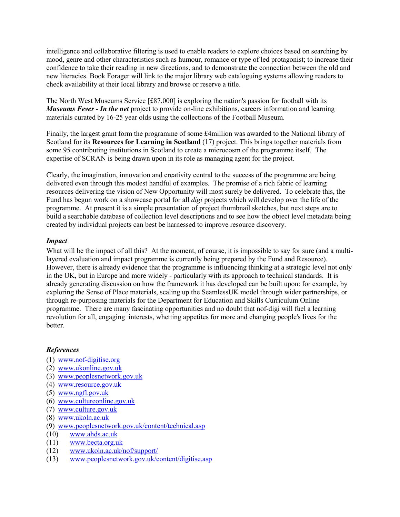intelligence and collaborative filtering is used to enable readers to explore choices based on searching by mood, genre and other characteristics such as humour, romance or type of led protagonist; to increase their confidence to take their reading in new directions, and to demonstrate the connection between the old and new literacies. Book Forager will link to the major library web cataloguing systems allowing readers to check availability at their local library and browse or reserve a title.

The North West Museums Service [£87,000] is exploring the nation's passion for football with its *Museums Fever - In the net* project to provide on-line exhibitions, careers information and learning materials curated by 16-25 year olds using the collections of the Football Museum.

Finally, the largest grant form the programme of some £4million was awarded to the National library of Scotland for its **Resources for Learning in Scotland** (17) project. This brings together materials from some 95 contributing institutions in Scotland to create a microcosm of the programme itself. The expertise of SCRAN is being drawn upon in its role as managing agent for the project.

Clearly, the imagination, innovation and creativity central to the success of the programme are being delivered even through this modest handful of examples. The promise of a rich fabric of learning resources delivering the vision of New Opportunity will most surely be delivered. To celebrate this, the Fund has begun work on a showcase portal for all *digi* projects which will develop over the life of the programme. At present it is a simple presentation of project thumbnail sketches, but next steps are to build a searchable database of collection level descriptions and to see how the object level metadata being created by individual projects can best be harnessed to improve resource discovery.

#### *Impact*

What will be the impact of all this? At the moment, of course, it is impossible to say for sure (and a multilayered evaluation and impact programme is currently being prepared by the Fund and Resource). However, there is already evidence that the programme is influencing thinking at a strategic level not only in the UK, but in Europe and more widely - particularly with its approach to technical standards. It is already generating discussion on how the framework it has developed can be built upon: for example, by exploring the Sense of Place materials, scaling up the SeamlessUK model through wider partnerships, or through re-purposing materials for the Department for Education and Skills Curriculum Online programme. There are many fascinating opportunities and no doubt that nof-digi will fuel a learning revolution for all, engaging interests, whetting appetites for more and changing people's lives for the better.

#### *References*

- (1) [www.nof-digitise.org](http://www.nof-digitise.org/)
- (2) [www.ukonline.gov.uk](http://www.ukonline.gov.uk/)
- (3) [www.peoplesnetwork.gov.uk](http://www.peoplesnetwork.gov.uk/)
- (4) [www.resource.gov.uk](http://www.resource.gov.uk/)
- (5) [www.ngfl.gov.uk](http://www.ngfl.gov.uk/)
- (6) [www.cultureonline.gov.uk](http://www.cultureonline.gov.uk/)
- (7) [www.culture.gov.uk](http://www.culture.gov.uk/)
- (8) [www.ukoln.ac.uk](http://www.ukoln.ac.uk/)
- (9) [www.peoplesnetwork.gov.uk/content/technical.asp](http://www.peoplesnetwork.gov.uk/content/technical.asp)
- (10) [www.ahds.ac.uk](http://www.ahds.ac.uk/)
- (11) [www.becta.org.uk](http://www.becta.org.uk/)
- (12) [www.ukoln.ac.uk/nof/support/](http://www.ukoln.ac.uk/nof/support/)
- (13) [www.peoplesnetwork.gov.uk/content/digitise.asp](http://www.peoplesnetwork.gov.uk/content/digitise.asp)